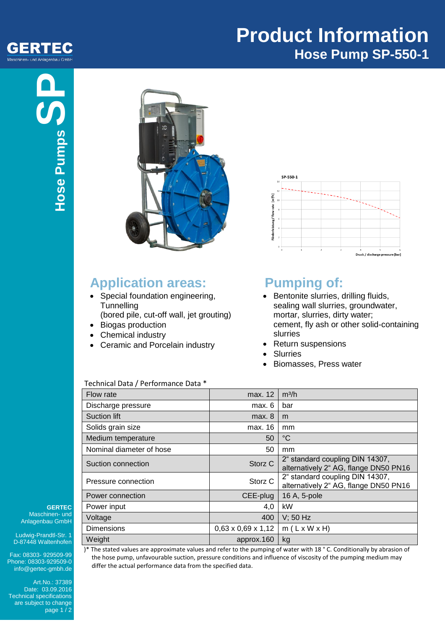#### GERTEC Maschinen- und Anlagenbau GmbH

# **Product Information Hose Pump SP-550-1**



## **Application areas:**

- Special foundation engineering, **Tunnelling**
- (bored pile, cut-off wall, jet grouting) • Biogas production
- Chemical industry
- Ceramic and Porcelain industry



# **Pumping of:**

- Bentonite slurries, drilling fluids, sealing wall slurries, groundwater, mortar, slurries, dirty water; cement, fly ash or other solid-containing slurries
- Return suspensions
- **Slurries**
- Biomasses, Press water

| Flow rate                | max. 12                        | m <sup>3</sup> /h                                                        |
|--------------------------|--------------------------------|--------------------------------------------------------------------------|
| Discharge pressure       | max. 6                         | bar                                                                      |
| <b>Suction lift</b>      | max. 8                         | m                                                                        |
| Solids grain size        | max. 16                        | mm                                                                       |
| Medium temperature       | 50                             | $^{\circ}C$                                                              |
| Nominal diameter of hose | 50                             | mm                                                                       |
| Suction connection       | Storz <sub>C</sub>             | 2" standard coupling DIN 14307,<br>alternatively 2" AG, flange DN50 PN16 |
| Pressure connection      | Storz C                        | 2" standard coupling DIN 14307,<br>alternatively 2" AG, flange DN50 PN16 |
| Power connection         | CEE-plug                       | 16 A, 5-pole                                                             |
| Power input              | 4,0                            | kW                                                                       |
| Voltage                  | 400                            | $V$ ; 50 Hz                                                              |
| <b>Dimensions</b>        | $0,63 \times 0,69 \times 1,12$ | $m(L \times W \times H)$                                                 |
| Weight                   | approx.160                     | kg                                                                       |

**GERTEC** Maschinen- und Anlagenbau GmbH

Ludwig-Prandtl-Str. 1 D-87448 Waltenhofen

Fax: 08303- 929509-99 Phone: 08303-929509-0 info@gertec-gmbh.de

Art.No.: 37389 Date: 03.09.2016 Technical specifications are subject to change page 1 / 2

Technical Data / Performance Data \*

)\* The stated values are approximate values and refer to the pumping of water with 18 ° C. Conditionally by abrasion of the hose pump, unfavourable suction, pressure conditions and influence of viscosity of the pumping medium may differ the actual performance data from the specified data.